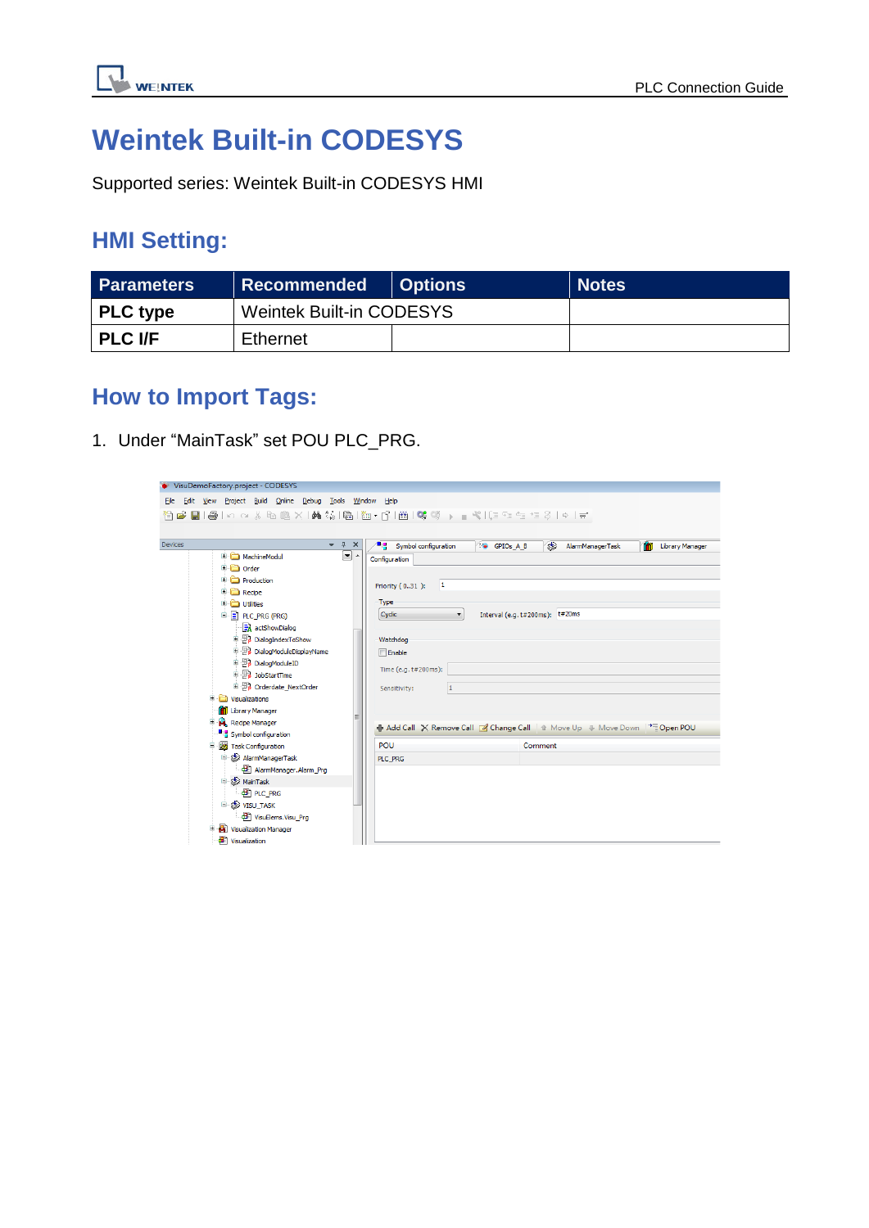

# **Weintek Built-in CODESYS**

Supported series: Weintek Built-in CODESYS HMI

### **HMI Setting:**

| <b>Parameters</b> | Recommended                     | <b>Options</b> | <b>Notes</b> |
|-------------------|---------------------------------|----------------|--------------|
| <b>PLC</b> type   | <b>Weintek Built-in CODESYS</b> |                |              |
| <b>PLC I/F</b>    | Ethernet                        |                |              |

### **How to Import Tags:**

1. Under "MainTask" set POU PLC\_PRG.

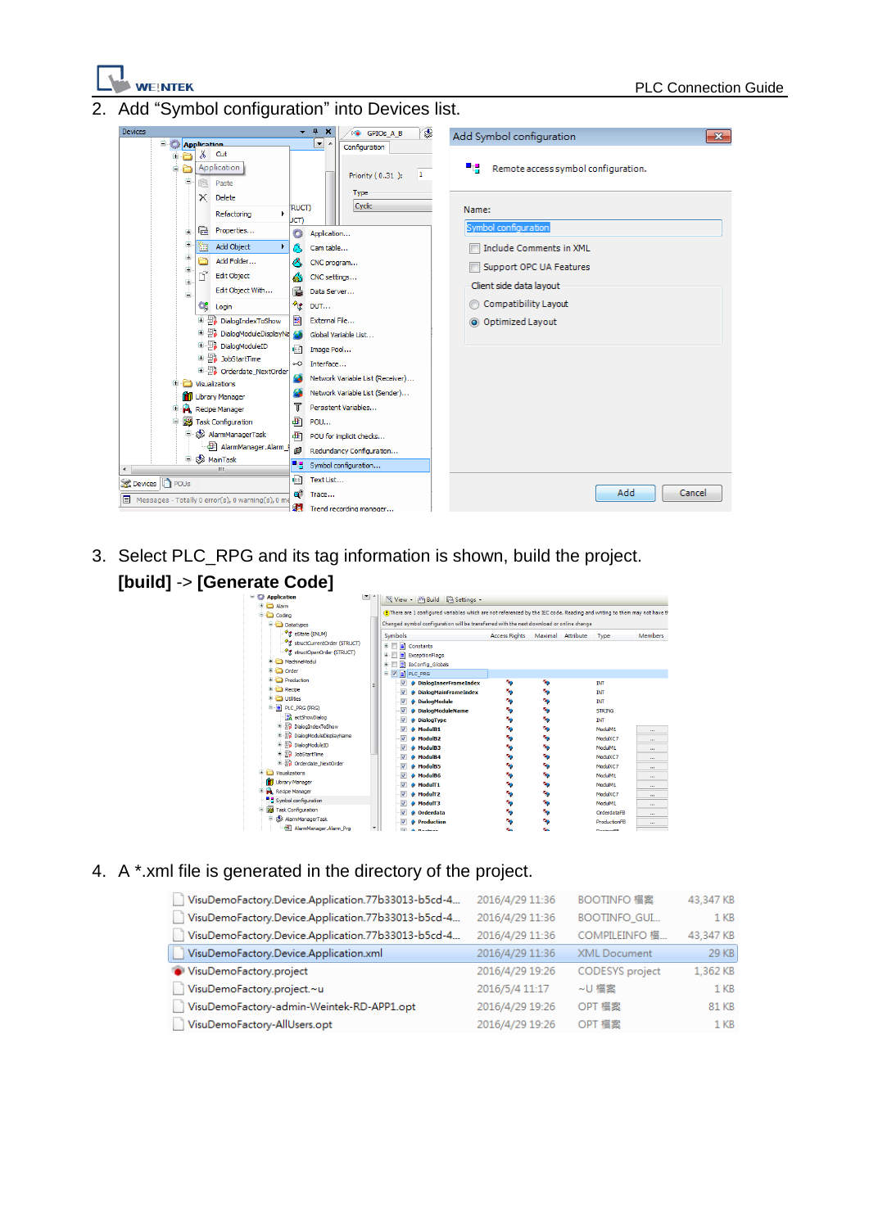

Add "Symbol configuration" into Devices list.



3. Select PLC\_RPG and its tag information is shown, build the project.



#### 4. A \*.xml file is generated in the directory of the project.

| VisuDemoFactory.Device.Application.77b33013-b5cd-4 | 2016/4/29 11:36 | BOOTINFO 檔案            | 43,347 KB       |
|----------------------------------------------------|-----------------|------------------------|-----------------|
| VisuDemoFactory.Device.Application.77b33013-b5cd-4 | 2016/4/29 11:36 | <b>BOOTINFO GUI</b>    | 1 <sub>KB</sub> |
| VisuDemoFactory.Device.Application.77b33013-b5cd-4 | 2016/4/29 11:36 | COMPILEINFO 檔          | 43,347 KB       |
| VisuDemoFactory.Device.Application.xml             | 2016/4/29 11:36 | <b>XML</b> Document    | 29 KB           |
| VisuDemoFactory.project                            | 2016/4/29 19:26 | <b>CODESYS</b> project | 1,362 KB        |
| VisuDemoFactory.project.~u                         | 2016/5/4 11:17  | ~U 檔案                  | 1 <sub>KB</sub> |
| VisuDemoFactory-admin-Weintek-RD-APP1.opt          | 2016/4/29 19:26 | OPT 檔案                 | 81 KB           |
| VisuDemoFactory-AllUsers.opt                       | 2016/4/29 19:26 | OPT 檔案                 | 1 <sub>KB</sub> |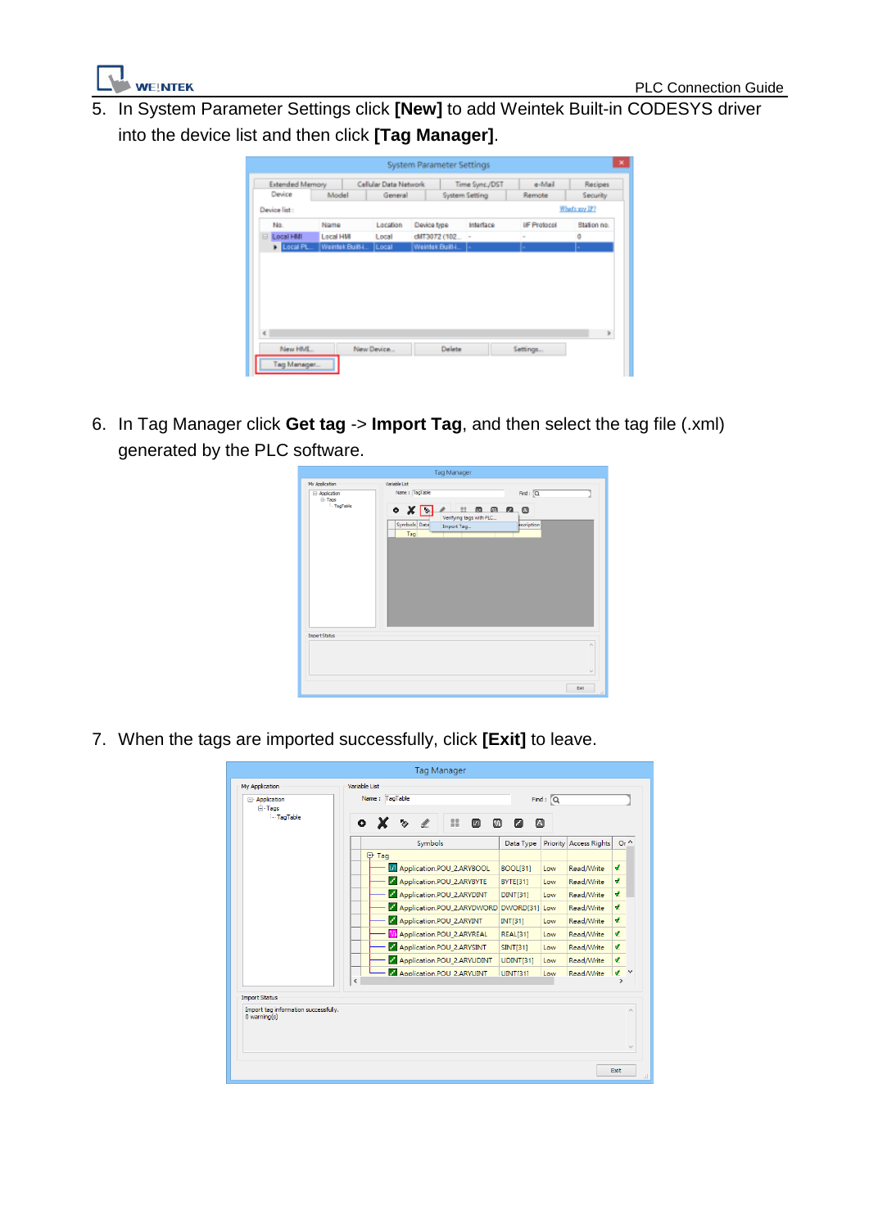

5. In System Parameter Settings click **[New]** to add Weintek Built-in CODESYS driver into the device list and then click **[Tag Manager]**.

| <b>Extended Memory</b> |                  | Cellular Data Network |                 |              | Time Sync./DST | EeM-e              | Recipes        |
|------------------------|------------------|-----------------------|-----------------|--------------|----------------|--------------------|----------------|
| Device                 | Model            | General               |                 |              | System Setting | Remote             | Security       |
| Device list:           |                  |                       |                 |              |                |                    | What's any IP? |
| No.                    | Name             | Location              | Device type     |              | Interface      | <b>UF Protocol</b> | Station no.    |
| Local HMI<br>$\Box$    | Local HMI        | Local                 |                 |              |                |                    | o              |
|                        |                  |                       |                 | cMT3072 (102 |                | $\sim$             |                |
| D Local PL.            | Weintek Built-L. | Local                 | Weintek Built-L |              |                |                    |                |
|                        |                  |                       |                 |              |                |                    | s              |

6. In Tag Manager click **Get tag** -> **Import Tag**, and then select the tag file (.xml) generated by the PLC software.



7. When the tags are imported successfully, click **[Exit]** to leave.

| My Application                                            | Variable List                              |                  |                                  |                                       |
|-----------------------------------------------------------|--------------------------------------------|------------------|----------------------------------|---------------------------------------|
| <b>□ Application</b><br><b>⊟</b> Tags<br>TagTable         | Name: TagTable                             |                  | Find: $Q$                        |                                       |
|                                                           | 88<br>1<br>۰<br>偭<br>ъ                     | 硘<br>⋒<br>n      |                                  |                                       |
|                                                           | Symbols                                    | Data Type        | Priority<br><b>Access Rights</b> | $Or^{\wedge}$                         |
|                                                           | 日 Tag                                      |                  |                                  |                                       |
|                                                           | 4 Application.POU 2.ARYBOOL                | <b>BOOL[31]</b>  | Read/Write<br>Low                | Ł                                     |
|                                                           | Application.POU 2.ARYBYTE                  | <b>BYTE[31]</b>  | Read/Write<br>Low                | d.                                    |
|                                                           | Application.POU_2.ARYDINT                  | <b>DINT[31]</b>  | Read/Write<br>Low                | d.                                    |
|                                                           | Application.POU 2.ARYDWORD                 | DWORD[31] Low    | Read/Write                       | ð.                                    |
|                                                           | Application.POU_2.ARYINT                   | <b>INT[31]</b>   | Read/Write<br>Low                | v.                                    |
|                                                           | <b>M</b> Application.POU_2.ARYREAL         | <b>REAL[31]</b>  | Read/Write<br>Low                | J.                                    |
|                                                           | Application.POU_2.ARYSINT                  | <b>SINT[31]</b>  | Read/Write<br>Low                | v.                                    |
|                                                           | Application.POU_2.ARYUDINT                 | <b>UDINT[31]</b> | Read/Write<br>Low                | A.                                    |
|                                                           | Application, POU 2.ARYUINT<br>$\checkmark$ | <b>UINTI311</b>  | Read/Write<br>Low                | $\mathcal{L}$ $\vee$<br>$\rightarrow$ |
| <b>Import Status</b>                                      |                                            |                  |                                  |                                       |
| Import tag information successfully.<br>$0$ warning $(s)$ |                                            |                  |                                  | $\wedge$                              |
|                                                           |                                            |                  |                                  | $\searrow$                            |